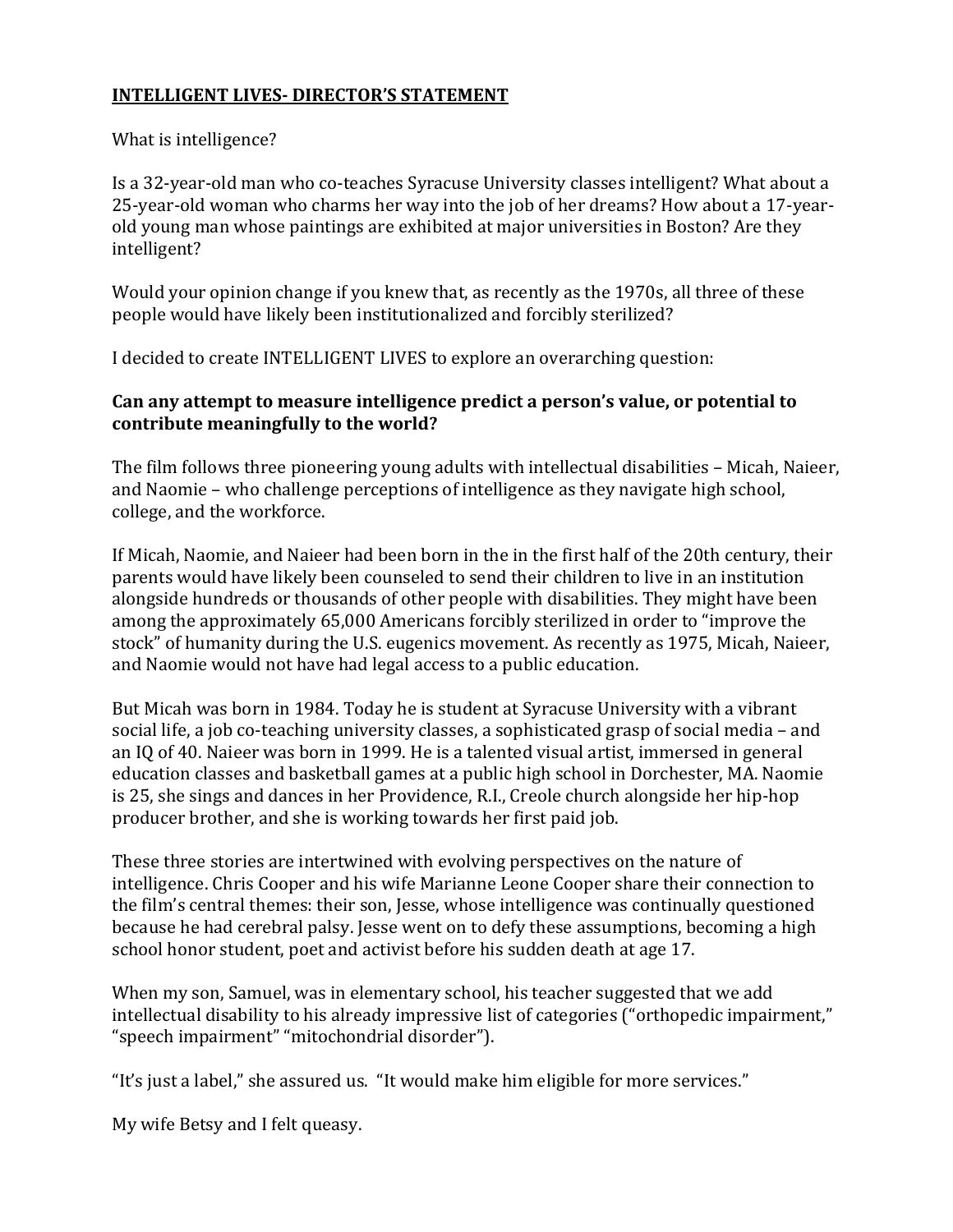## **INTELLIGENT LIVES- DIRECTOR'S STATEMENT**

## What is intelligence?

Is a 32-year-old man who co-teaches Syracuse University classes intelligent? What about a 25-year-old woman who charms her way into the job of her dreams? How about a 17-yearold young man whose paintings are exhibited at major universities in Boston? Are they intelligent?

Would your opinion change if you knew that, as recently as the 1970s, all three of these people would have likely been institutionalized and forcibly sterilized?

I decided to create INTELLIGENT LIVES to explore an overarching question:

## **Can any attempt to measure intelligence predict a person's value, or potential to contribute meaningfully to the world?**

The film follows three pioneering young adults with intellectual disabilities – Micah, Naieer, and Naomie – who challenge perceptions of intelligence as they navigate high school, college, and the workforce.

If Micah, Naomie, and Naieer had been born in the in the first half of the 20th century, their parents would have likely been counseled to send their children to live in an institution alongside hundreds or thousands of other people with disabilities. They might have been among the approximately 65,000 Americans forcibly sterilized in order to "improve the stock" of humanity during the U.S. eugenics movement. As recently as 1975, Micah, Naieer, and Naomie would not have had legal access to a public education.

But Micah was born in 1984. Today he is student at Syracuse University with a vibrant social life, a job co-teaching university classes, a sophisticated grasp of social media – and an IQ of 40. Naieer was born in 1999. He is a talented visual artist, immersed in general education classes and basketball games at a public high school in Dorchester, MA. Naomie is 25, she sings and dances in her Providence, R.I., Creole church alongside her hip-hop producer brother, and she is working towards her first paid job.

These three stories are intertwined with evolving perspectives on the nature of intelligence. Chris Cooper and his wife Marianne Leone Cooper share their connection to the film's central themes: their son, Jesse, whose intelligence was continually questioned because he had cerebral palsy. Jesse went on to defy these assumptions, becoming a high school honor student, poet and activist before his sudden death at age 17.

When my son, Samuel, was in elementary school, his teacher suggested that we add intellectual disability to his already impressive list of categories ("orthopedic impairment," "speech impairment" "mitochondrial disorder").

"It's just a label," she assured us. "It would make him eligible for more services."

My wife Betsy and I felt queasy.